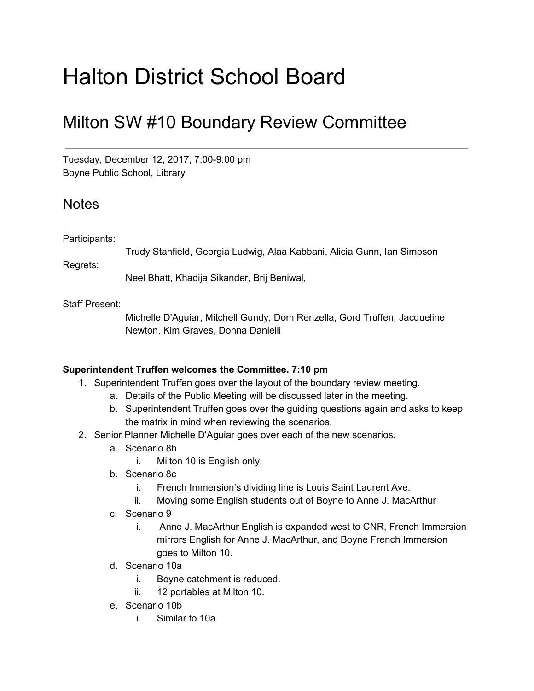## Halton District School Board

## Milton SW #10 Boundary Review Committee

Tuesday, December 12, 2017, 7:00-9:00 pm Boyne Public School, Library

## **Notes**

| Participants: |                                                                         |
|---------------|-------------------------------------------------------------------------|
|               | Trudy Stanfield, Georgia Ludwig, Alaa Kabbani, Alicia Gunn, Ian Simpson |
| Regrets:      |                                                                         |
|               | Neel Bhatt, Khadija Sikander, Brij Beniwal,                             |

Staff Present:

Michelle D'Aguiar, Mitchell Gundy, Dom Renzella, Gord Truffen, Jacqueline Newton, Kim Graves, Donna Danielli

## **Superintendent Truffen welcomes the Committee. 7:10 pm**

- 1. Superintendent Truffen goes over the layout of the boundary review meeting.
	- a. Details of the Public Meeting will be discussed later in the meeting.
	- b. Superintendent Truffen goes over the guiding questions again and asks to keep the matrix in mind when reviewing the scenarios.
- 2. Senior Planner Michelle D'Aguiar goes over each of the new scenarios.
	- a. Scenario 8b
		- i. Milton 10 is English only.
	- b. Scenario 8c
		- i. French Immersion's dividing line is Louis Saint Laurent Ave.
		- ii. Moving some English students out of Boyne to Anne J. MacArthur
	- c. Scenario 9
		- i. Anne J. MacArthur English is expanded west to CNR, French Immersion mirrors English for Anne J. MacArthur, and Boyne French Immersion goes to Milton 10.
	- d. Scenario 10a
		- i. Boyne catchment is reduced.
		- ii. 12 portables at Milton 10.
	- e. Scenario 10b
		- i. Similar to 10a.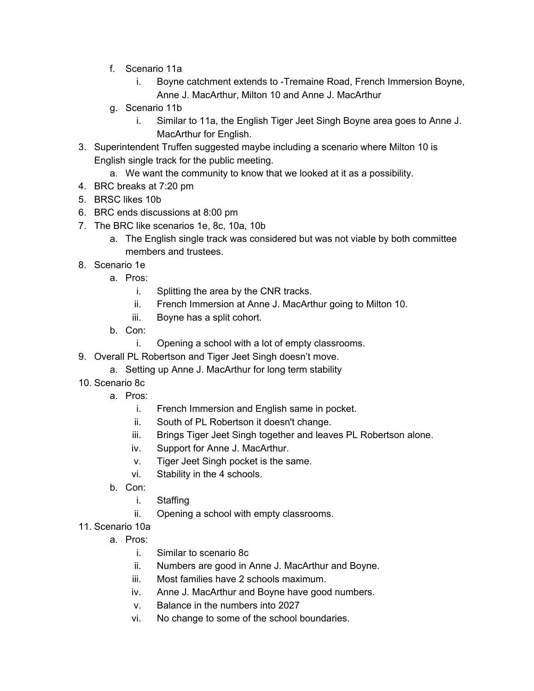- f. Scenario 11a
	- i. Boyne catchment extends to -Tremaine Road, French Immersion Boyne, Anne J. MacArthur, Milton 10 and Anne J. MacArthur
- g. Scenario 11b
	- i. Similar to 11a, the English Tiger Jeet Singh Boyne area goes to Anne J. MacArthur for English.
- 3. Superintendent Truffen suggested maybe including a scenario where Milton 10 is English single track for the public meeting.
	- a. We want the community to know that we looked at it as a possibility.
- 4. BRC breaks at 7:20 pm
- 5. BRSC likes 10b
- 6. BRC ends discussions at 8:00 pm
- 7. The BRC like scenarios 1e, 8c, 10a, 10b
	- a. The English single track was considered but was not viable by both committee members and trustees.
- 8. Scenario 1e
	- a. Pros:
		- i. Splitting the area by the CNR tracks.
		- ii. French Immersion at Anne J. MacArthur going to Milton 10.
		- iii. Boyne has a split cohort.
	- b. Con:
		- i. Opening a school with a lot of empty classrooms.
- 9. Overall PL Robertson and Tiger Jeet Singh doesn't move.
	- a. Setting up Anne J. MacArthur for long term stability
- 10. Scenario 8c
	- a. Pros:
		- i. French Immersion and English same in pocket.
		- ii. South of PL Robertson it doesn't change.
		- iii. Brings Tiger Jeet Singh together and leaves PL Robertson alone.
		- iv. Support for Anne J. MacArthur.
		- v. Tiger Jeet Singh pocket is the same.
		- vi. Stability in the 4 schools.
	- b. Con:
		- i. Staffing
		- ii. Opening a school with empty classrooms.
- 11. Scenario 10a
	- a. Pros:
		- i. Similar to scenario 8c
		- ii. Numbers are good in Anne J. MacArthur and Boyne.
		- iii. Most families have 2 schools maximum.
		- iv. Anne J. MacArthur and Boyne have good numbers.
		- v. Balance in the numbers into 2027
		- vi. No change to some of the school boundaries.